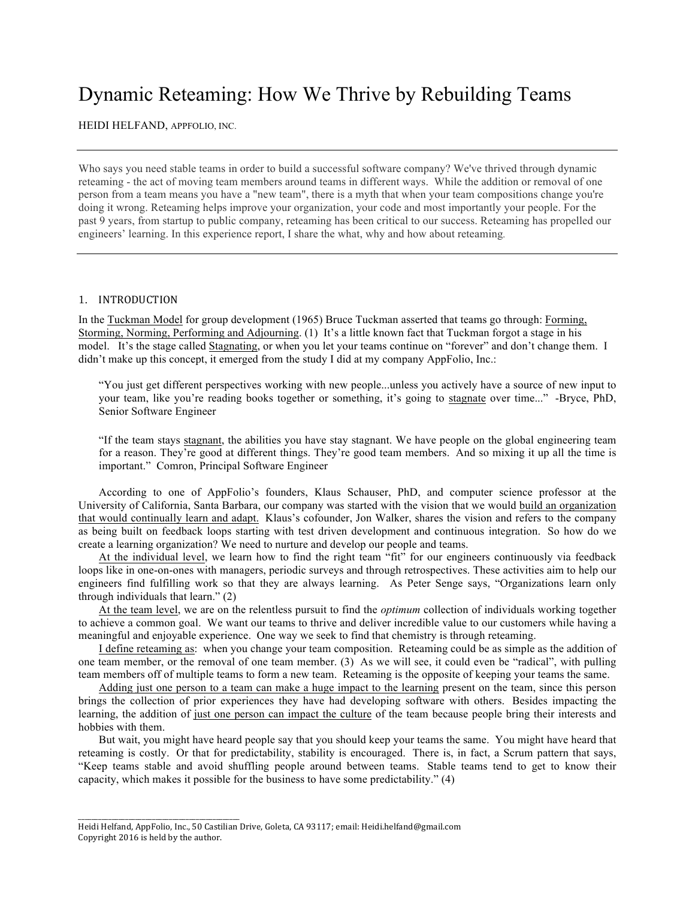# Dynamic Reteaming: How We Thrive by Rebuilding Teams

HEIDI HELFAND, APPFOLIO, INC.

Who says you need stable teams in order to build a successful software company? We've thrived through dynamic reteaming - the act of moving team members around teams in different ways. While the addition or removal of one person from a team means you have a "new team", there is a myth that when your team compositions change you're doing it wrong. Reteaming helps improve your organization, your code and most importantly your people. For the past 9 years, from startup to public company, reteaming has been critical to our success. Reteaming has propelled our engineers' learning. In this experience report, I share the what, why and how about reteaming.

## 1. INTRODUCTION

In the Tuckman Model for group development (1965) Bruce Tuckman asserted that teams go through: Forming, Storming, Norming, Performing and Adjourning. (1) It's a little known fact that Tuckman forgot a stage in his model. It's the stage called Stagnating, or when you let your teams continue on "forever" and don't change them. I didn't make up this concept, it emerged from the study I did at my company AppFolio, Inc.:

"You just get different perspectives working with new people...unless you actively have a source of new input to your team, like you're reading books together or something, it's going to stagnate over time..." -Bryce, PhD, Senior Software Engineer

"If the team stays stagnant, the abilities you have stay stagnant. We have people on the global engineering team for a reason. They're good at different things. They're good team members. And so mixing it up all the time is important." Comron, Principal Software Engineer

According to one of AppFolio's founders, Klaus Schauser, PhD, and computer science professor at the University of California, Santa Barbara, our company was started with the vision that we would build an organization that would continually learn and adapt. Klaus's cofounder, Jon Walker, shares the vision and refers to the company as being built on feedback loops starting with test driven development and continuous integration. So how do we create a learning organization? We need to nurture and develop our people and teams.

At the individual level, we learn how to find the right team "fit" for our engineers continuously via feedback loops like in one-on-ones with managers, periodic surveys and through retrospectives. These activities aim to help our engineers find fulfilling work so that they are always learning. As Peter Senge says, "Organizations learn only through individuals that learn." (2)

At the team level, we are on the relentless pursuit to find the *optimum* collection of individuals working together to achieve a common goal. We want our teams to thrive and deliver incredible value to our customers while having a meaningful and enjoyable experience. One way we seek to find that chemistry is through reteaming.

I define reteaming as: when you change your team composition. Reteaming could be as simple as the addition of one team member, or the removal of one team member. (3) As we will see, it could even be "radical", with pulling team members off of multiple teams to form a new team. Reteaming is the opposite of keeping your teams the same.

Adding just one person to a team can make a huge impact to the learning present on the team, since this person brings the collection of prior experiences they have had developing software with others. Besides impacting the learning, the addition of just one person can impact the culture of the team because people bring their interests and hobbies with them.

But wait, you might have heard people say that you should keep your teams the same. You might have heard that reteaming is costly. Or that for predictability, stability is encouraged. There is, in fact, a Scrum pattern that says, "Keep teams stable and avoid shuffling people around between teams. Stable teams tend to get to know their capacity, which makes it possible for the business to have some predictability." (4)

\_\_\_\_\_\_\_\_\_\_\_\_\_\_\_\_\_\_\_\_\_\_\_\_\_\_\_\_\_\_\_\_\_\_\_\_\_\_\_\_\_\_\_\_\_\_\_\_

Heidi Helfand, AppFolio, Inc., 50 Castilian Drive, Goleta, CA 93117; email: Heidi.helfand@gmail.com Copyright 2016 is held by the author.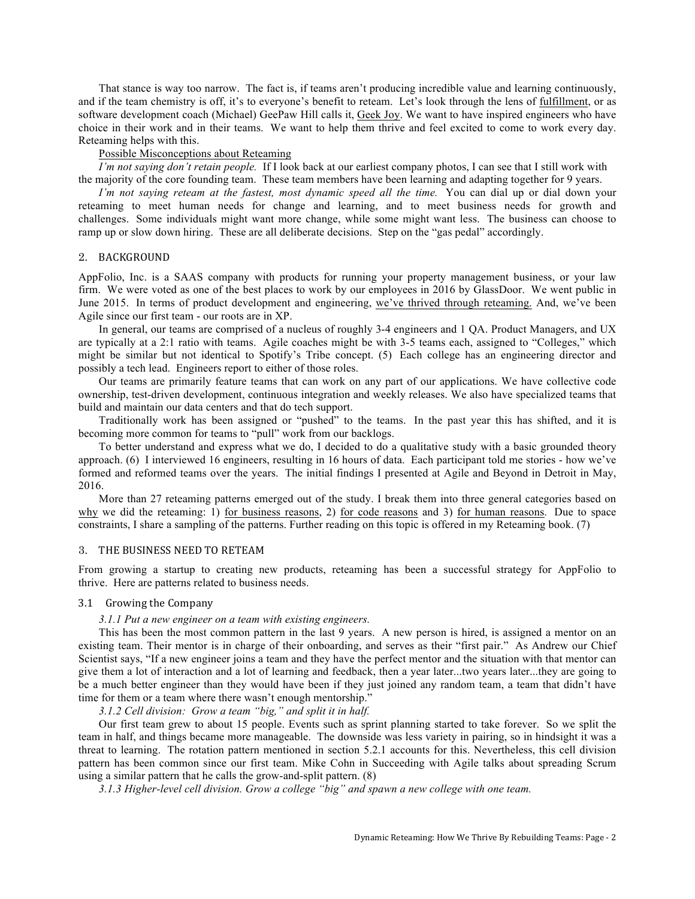That stance is way too narrow. The fact is, if teams aren't producing incredible value and learning continuously, and if the team chemistry is off, it's to everyone's benefit to reteam. Let's look through the lens of fulfillment, or as software development coach (Michael) GeePaw Hill calls it, Geek Joy. We want to have inspired engineers who have choice in their work and in their teams. We want to help them thrive and feel excited to come to work every day. Reteaming helps with this.

## Possible Misconceptions about Reteaming

*I'm not saying don't retain people.* If I look back at our earliest company photos, I can see that I still work with the majority of the core founding team. These team members have been learning and adapting together for 9 years.

*I'm not saying reteam at the fastest, most dynamic speed all the time.* You can dial up or dial down your reteaming to meet human needs for change and learning, and to meet business needs for growth and challenges. Some individuals might want more change, while some might want less. The business can choose to ramp up or slow down hiring. These are all deliberate decisions. Step on the "gas pedal" accordingly.

#### 2. BACKGROUND

AppFolio, Inc. is a SAAS company with products for running your property management business, or your law firm. We were voted as one of the best places to work by our employees in 2016 by GlassDoor. We went public in June 2015. In terms of product development and engineering, we've thrived through reteaming. And, we've been Agile since our first team - our roots are in XP.

In general, our teams are comprised of a nucleus of roughly 3-4 engineers and 1 QA. Product Managers, and UX are typically at a 2:1 ratio with teams. Agile coaches might be with 3-5 teams each, assigned to "Colleges," which might be similar but not identical to Spotify's Tribe concept. (5) Each college has an engineering director and possibly a tech lead. Engineers report to either of those roles.

Our teams are primarily feature teams that can work on any part of our applications. We have collective code ownership, test-driven development, continuous integration and weekly releases. We also have specialized teams that build and maintain our data centers and that do tech support.

Traditionally work has been assigned or "pushed" to the teams. In the past year this has shifted, and it is becoming more common for teams to "pull" work from our backlogs.

To better understand and express what we do, I decided to do a qualitative study with a basic grounded theory approach. (6) I interviewed 16 engineers, resulting in 16 hours of data. Each participant told me stories - how we've formed and reformed teams over the years. The initial findings I presented at Agile and Beyond in Detroit in May, 2016.

More than 27 reteaming patterns emerged out of the study. I break them into three general categories based on why we did the reteaming: 1) for business reasons, 2) for code reasons and 3) for human reasons. Due to space constraints, I share a sampling of the patterns. Further reading on this topic is offered in my Reteaming book. (7)

## 3. THE BUSINESS NEED TO RETEAM

From growing a startup to creating new products, reteaming has been a successful strategy for AppFolio to thrive. Here are patterns related to business needs.

## 3.1 Growing the Company

# *3.1.1 Put a new engineer on a team with existing engineers.*

This has been the most common pattern in the last 9 years. A new person is hired, is assigned a mentor on an existing team. Their mentor is in charge of their onboarding, and serves as their "first pair." As Andrew our Chief Scientist says, "If a new engineer joins a team and they have the perfect mentor and the situation with that mentor can give them a lot of interaction and a lot of learning and feedback, then a year later...two years later...they are going to be a much better engineer than they would have been if they just joined any random team, a team that didn't have time for them or a team where there wasn't enough mentorship."

*3.1.2 Cell division: Grow a team "big," and split it in half.*

Our first team grew to about 15 people. Events such as sprint planning started to take forever. So we split the team in half, and things became more manageable. The downside was less variety in pairing, so in hindsight it was a threat to learning. The rotation pattern mentioned in section 5.2.1 accounts for this. Nevertheless, this cell division pattern has been common since our first team. Mike Cohn in Succeeding with Agile talks about spreading Scrum using a similar pattern that he calls the grow-and-split pattern. (8)

*3.1.3 Higher-level cell division. Grow a college "big" and spawn a new college with one team.*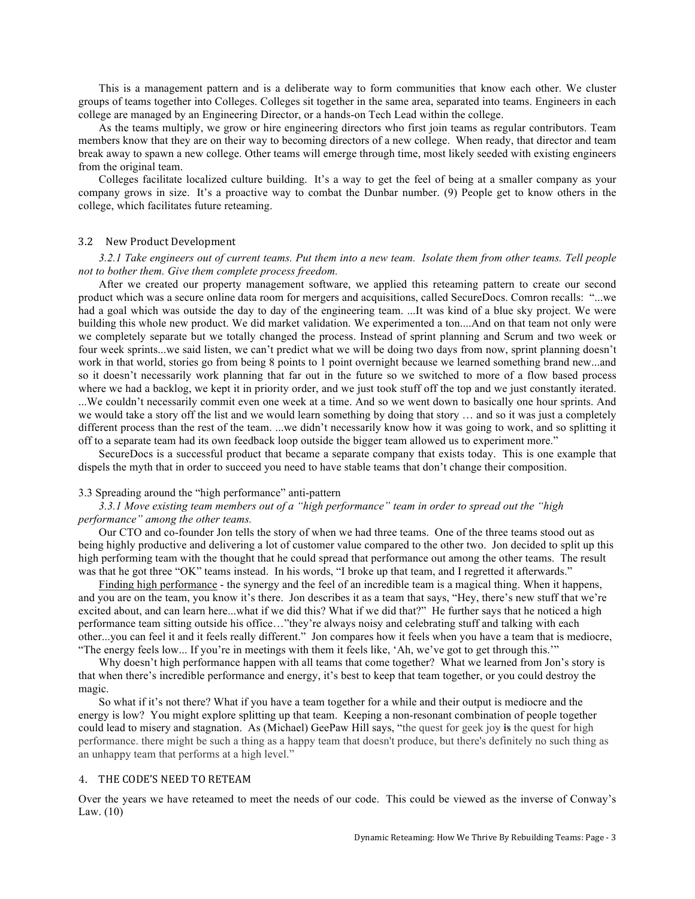This is a management pattern and is a deliberate way to form communities that know each other. We cluster groups of teams together into Colleges. Colleges sit together in the same area, separated into teams. Engineers in each college are managed by an Engineering Director, or a hands-on Tech Lead within the college.

As the teams multiply, we grow or hire engineering directors who first join teams as regular contributors. Team members know that they are on their way to becoming directors of a new college. When ready, that director and team break away to spawn a new college. Other teams will emerge through time, most likely seeded with existing engineers from the original team.

Colleges facilitate localized culture building. It's a way to get the feel of being at a smaller company as your company grows in size. It's a proactive way to combat the Dunbar number. (9) People get to know others in the college, which facilitates future reteaming.

#### 3.2 New Product Development

*3.2.1 Take engineers out of current teams. Put them into a new team. Isolate them from other teams. Tell people not to bother them. Give them complete process freedom.*

After we created our property management software, we applied this reteaming pattern to create our second product which was a secure online data room for mergers and acquisitions, called SecureDocs. Comron recalls: "...we had a goal which was outside the day to day of the engineering team. ...It was kind of a blue sky project. We were building this whole new product. We did market validation. We experimented a ton....And on that team not only were we completely separate but we totally changed the process. Instead of sprint planning and Scrum and two week or four week sprints...we said listen, we can't predict what we will be doing two days from now, sprint planning doesn't work in that world, stories go from being 8 points to 1 point overnight because we learned something brand new...and so it doesn't necessarily work planning that far out in the future so we switched to more of a flow based process where we had a backlog, we kept it in priority order, and we just took stuff off the top and we just constantly iterated. ...We couldn't necessarily commit even one week at a time. And so we went down to basically one hour sprints. And we would take a story off the list and we would learn something by doing that story … and so it was just a completely different process than the rest of the team. ...we didn't necessarily know how it was going to work, and so splitting it off to a separate team had its own feedback loop outside the bigger team allowed us to experiment more."

SecureDocs is a successful product that became a separate company that exists today. This is one example that dispels the myth that in order to succeed you need to have stable teams that don't change their composition.

## 3.3 Spreading around the "high performance" anti-pattern

## *3.3.1 Move existing team members out of a "high performance" team in order to spread out the "high performance" among the other teams.*

Our CTO and co-founder Jon tells the story of when we had three teams. One of the three teams stood out as being highly productive and delivering a lot of customer value compared to the other two. Jon decided to split up this high performing team with the thought that he could spread that performance out among the other teams. The result was that he got three "OK" teams instead. In his words, "I broke up that team, and I regretted it afterwards."

Finding high performance - the synergy and the feel of an incredible team is a magical thing. When it happens, and you are on the team, you know it's there. Jon describes it as a team that says, "Hey, there's new stuff that we're excited about, and can learn here...what if we did this? What if we did that?" He further says that he noticed a high performance team sitting outside his office…"they're always noisy and celebrating stuff and talking with each other...you can feel it and it feels really different." Jon compares how it feels when you have a team that is mediocre, "The energy feels low... If you're in meetings with them it feels like, 'Ah, we've got to get through this.'"

Why doesn't high performance happen with all teams that come together? What we learned from Jon's story is that when there's incredible performance and energy, it's best to keep that team together, or you could destroy the magic.

So what if it's not there? What if you have a team together for a while and their output is mediocre and the energy is low? You might explore splitting up that team. Keeping a non-resonant combination of people together could lead to misery and stagnation. As (Michael) GeePaw Hill says, "the quest for geek joy **is** the quest for high performance. there might be such a thing as a happy team that doesn't produce, but there's definitely no such thing as an unhappy team that performs at a high level."

#### 4. THE CODE'S NEED TO RETEAM

Over the years we have reteamed to meet the needs of our code. This could be viewed as the inverse of Conway's Law. (10)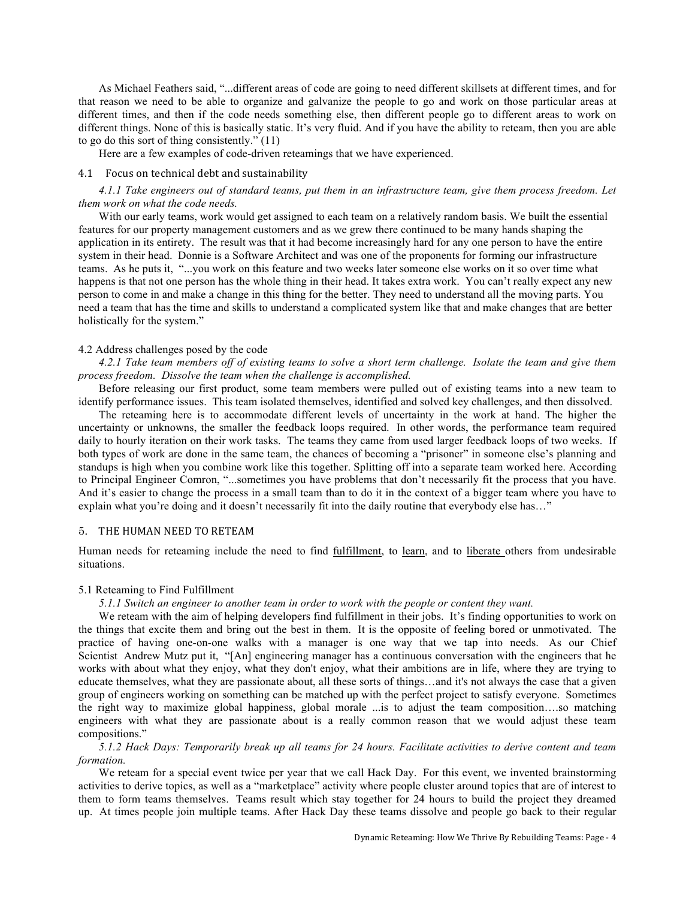As Michael Feathers said, "...different areas of code are going to need different skillsets at different times, and for that reason we need to be able to organize and galvanize the people to go and work on those particular areas at different times, and then if the code needs something else, then different people go to different areas to work on different things. None of this is basically static. It's very fluid. And if you have the ability to reteam, then you are able to go do this sort of thing consistently." (11)

Here are a few examples of code-driven reteamings that we have experienced.

#### 4.1 Focus on technical debt and sustainability

*4.1.1 Take engineers out of standard teams, put them in an infrastructure team, give them process freedom. Let them work on what the code needs.*

With our early teams, work would get assigned to each team on a relatively random basis. We built the essential features for our property management customers and as we grew there continued to be many hands shaping the application in its entirety. The result was that it had become increasingly hard for any one person to have the entire system in their head. Donnie is a Software Architect and was one of the proponents for forming our infrastructure teams. As he puts it, "...you work on this feature and two weeks later someone else works on it so over time what happens is that not one person has the whole thing in their head. It takes extra work. You can't really expect any new person to come in and make a change in this thing for the better. They need to understand all the moving parts. You need a team that has the time and skills to understand a complicated system like that and make changes that are better holistically for the system."

## 4.2 Address challenges posed by the code

*4.2.1 Take team members off of existing teams to solve a short term challenge. Isolate the team and give them process freedom. Dissolve the team when the challenge is accomplished.* 

Before releasing our first product, some team members were pulled out of existing teams into a new team to identify performance issues. This team isolated themselves, identified and solved key challenges, and then dissolved.

The reteaming here is to accommodate different levels of uncertainty in the work at hand. The higher the uncertainty or unknowns, the smaller the feedback loops required. In other words, the performance team required daily to hourly iteration on their work tasks. The teams they came from used larger feedback loops of two weeks. If both types of work are done in the same team, the chances of becoming a "prisoner" in someone else's planning and standups is high when you combine work like this together. Splitting off into a separate team worked here. According to Principal Engineer Comron, "...sometimes you have problems that don't necessarily fit the process that you have. And it's easier to change the process in a small team than to do it in the context of a bigger team where you have to explain what you're doing and it doesn't necessarily fit into the daily routine that everybody else has..."

## 5. THE HUMAN NEED TO RETEAM

Human needs for reteaming include the need to find fulfillment, to learn, and to liberate others from undesirable situations.

#### 5.1 Reteaming to Find Fulfillment

*5.1.1 Switch an engineer to another team in order to work with the people or content they want.*

We reteam with the aim of helping developers find fulfillment in their jobs. It's finding opportunities to work on the things that excite them and bring out the best in them. It is the opposite of feeling bored or unmotivated. The practice of having one-on-one walks with a manager is one way that we tap into needs. As our Chief Scientist Andrew Mutz put it, "[An] engineering manager has a continuous conversation with the engineers that he works with about what they enjoy, what they don't enjoy, what their ambitions are in life, where they are trying to educate themselves, what they are passionate about, all these sorts of things…and it's not always the case that a given group of engineers working on something can be matched up with the perfect project to satisfy everyone. Sometimes the right way to maximize global happiness, global morale ...is to adjust the team composition….so matching engineers with what they are passionate about is a really common reason that we would adjust these team compositions."

# *5.1.2 Hack Days: Temporarily break up all teams for 24 hours. Facilitate activities to derive content and team formation.*

We reteam for a special event twice per year that we call Hack Day. For this event, we invented brainstorming activities to derive topics, as well as a "marketplace" activity where people cluster around topics that are of interest to them to form teams themselves. Teams result which stay together for 24 hours to build the project they dreamed up. At times people join multiple teams. After Hack Day these teams dissolve and people go back to their regular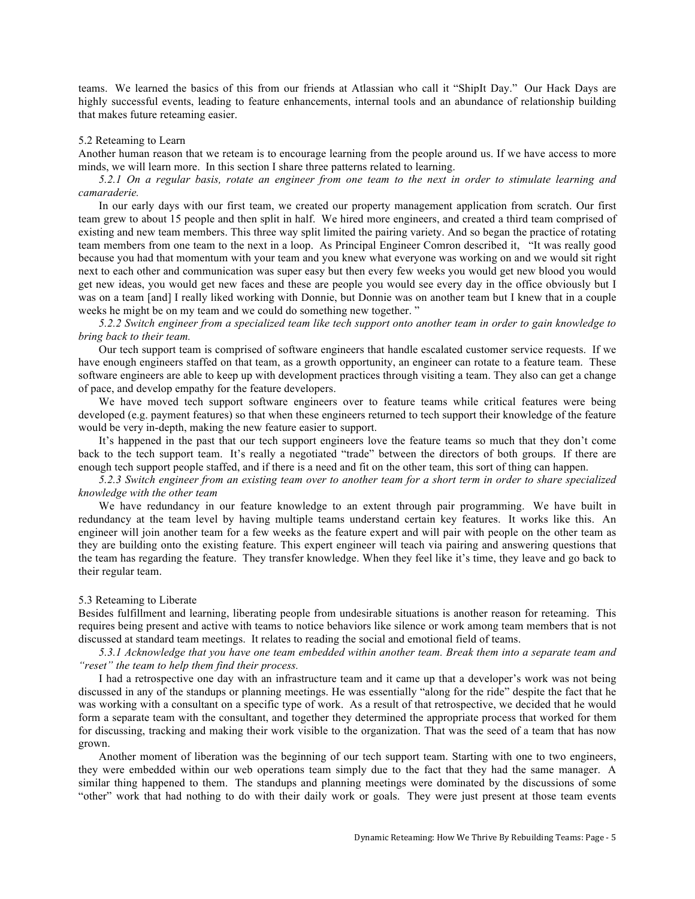teams. We learned the basics of this from our friends at Atlassian who call it "ShipIt Day." Our Hack Days are highly successful events, leading to feature enhancements, internal tools and an abundance of relationship building that makes future reteaming easier.

#### 5.2 Reteaming to Learn

Another human reason that we reteam is to encourage learning from the people around us. If we have access to more minds, we will learn more. In this section I share three patterns related to learning.

*5.2.1 On a regular basis, rotate an engineer from one team to the next in order to stimulate learning and camaraderie.*

In our early days with our first team, we created our property management application from scratch. Our first team grew to about 15 people and then split in half. We hired more engineers, and created a third team comprised of existing and new team members. This three way split limited the pairing variety. And so began the practice of rotating team members from one team to the next in a loop. As Principal Engineer Comron described it, "It was really good because you had that momentum with your team and you knew what everyone was working on and we would sit right next to each other and communication was super easy but then every few weeks you would get new blood you would get new ideas, you would get new faces and these are people you would see every day in the office obviously but I was on a team [and] I really liked working with Donnie, but Donnie was on another team but I knew that in a couple weeks he might be on my team and we could do something new together. "

*5.2.2 Switch engineer from a specialized team like tech support onto another team in order to gain knowledge to bring back to their team.*

Our tech support team is comprised of software engineers that handle escalated customer service requests. If we have enough engineers staffed on that team, as a growth opportunity, an engineer can rotate to a feature team. These software engineers are able to keep up with development practices through visiting a team. They also can get a change of pace, and develop empathy for the feature developers.

We have moved tech support software engineers over to feature teams while critical features were being developed (e.g. payment features) so that when these engineers returned to tech support their knowledge of the feature would be very in-depth, making the new feature easier to support.

It's happened in the past that our tech support engineers love the feature teams so much that they don't come back to the tech support team. It's really a negotiated "trade" between the directors of both groups. If there are enough tech support people staffed, and if there is a need and fit on the other team, this sort of thing can happen.

*5.2.3 Switch engineer from an existing team over to another team for a short term in order to share specialized knowledge with the other team*

We have redundancy in our feature knowledge to an extent through pair programming. We have built in redundancy at the team level by having multiple teams understand certain key features. It works like this. An engineer will join another team for a few weeks as the feature expert and will pair with people on the other team as they are building onto the existing feature. This expert engineer will teach via pairing and answering questions that the team has regarding the feature. They transfer knowledge. When they feel like it's time, they leave and go back to their regular team.

#### 5.3 Reteaming to Liberate

Besides fulfillment and learning, liberating people from undesirable situations is another reason for reteaming. This requires being present and active with teams to notice behaviors like silence or work among team members that is not discussed at standard team meetings. It relates to reading the social and emotional field of teams.

*5.3.1 Acknowledge that you have one team embedded within another team. Break them into a separate team and "reset" the team to help them find their process.*

I had a retrospective one day with an infrastructure team and it came up that a developer's work was not being discussed in any of the standups or planning meetings. He was essentially "along for the ride" despite the fact that he was working with a consultant on a specific type of work. As a result of that retrospective, we decided that he would form a separate team with the consultant, and together they determined the appropriate process that worked for them for discussing, tracking and making their work visible to the organization. That was the seed of a team that has now grown.

Another moment of liberation was the beginning of our tech support team. Starting with one to two engineers, they were embedded within our web operations team simply due to the fact that they had the same manager. A similar thing happened to them. The standups and planning meetings were dominated by the discussions of some "other" work that had nothing to do with their daily work or goals. They were just present at those team events